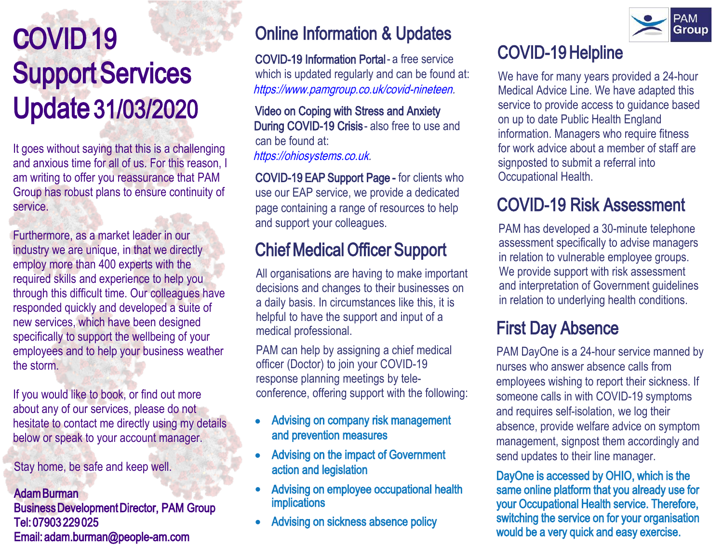## **C**OVID 19 Support Services Update 31/03/2020

It goes without saying that this is a challenging and anxious time for all of us. For this reason, I am writing to offer you reassurance that PAM Group has robust plans to ensure continuity of service.

Furthermore, as a market leader in our industry we are unique, in that we directly employ more than 400 experts with the required skills and experience to help you through this difficult time. Our colleagues have responded quickly and developed a suite of new services, which have been designed specifically to support the wellbeing of your employees and to help your business weather the storm.

If you would like to book, or find out more about any of our services, please do not hesitate to contact me directly using my details below or speak to your account manager.

Stay home, be safe and keep well.

#### Adam Burman Business Development Director, PAM Group Tel: 07903 229 025 Email[: adam.burman@people-am.com](mailto:adam.burman@people-am.com)

#### Online Information & Updates

COVID-19 Information Portal - a free service which is updated regularly and can be found at: ht[tps://www.pamgroup.co.uk/covid-ninete](https://www.pamgroup.co.uk/covid-nineteen. This is free for you to use.)en.

Video on Coping with Stress and Anxiety During COVID-19 Crisis - also free to use and [can be found at:](https://ohiosystems.co.uk/) [htt](https://ohiosystems.co.uk/)[p](https://ohiosystems.co.uk)[s://ohios](https://ohiosystems.co.uk/)[y](https://ohiosystems.co.uk)[stems.](https://ohiosystems.co.uk/)[co](https://ohiosystems.co.uk).uk.

COVID-19 EAP Support Page - for clients who use our EAP service, we provide a dedicated page containing a range of resources to help and support your colleagues.

#### Chief Medical Officer Support

All organisations are having to make important decisions and changes to their businesses on a daily basis. In circumstances like this, it is helpful to have the support and input of a medical professional.

PAM can help by assigning a chief medical officer (Doctor) to join your COVID-19 response planning meetings by teleconference, offering support with the following:

- Advising on company risk management and prevention measures
- Advising on the impact of Government action and legislation
- Advising on employee occupational health implications
- Advising on sickness absence policy



We have for many years provided a 24-hour Medical Advice Line. We have adapted this service to provide access to guidance based on up to date Public Health England information. Managers who require fitness for work advice about a member of staff are signposted to submit a referral into Occupational Health.

#### COVID-19 Risk Assessment

PAM has developed a 30-minute telephone assessment specifically to advise managers in relation to vulnerable employee groups. We provide support with risk assessment and interpretation of Government guidelines in relation to underlying health conditions.

#### First Day Absence

PAM DayOne is a 24-hour service manned by nurses who answer absence calls from employees wishing to report their sickness. If someone calls in with COVID-19 symptoms and requires self-isolation, we log their absence, provide welfare advice on symptom management, signpost them accordingly and send updates to their line manager.

DayOne is accessed by OHIO, which is the same online platform that you already use for your Occupational Health service. Therefore, switching the service on for your organisation would be a very quick and easy exercise.